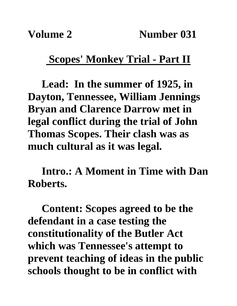## **Scopes' Monkey Trial - Part II**

**Lead: In the summer of 1925, in Dayton, Tennessee, William Jennings Bryan and Clarence Darrow met in legal conflict during the trial of John Thomas Scopes. Their clash was as much cultural as it was legal.**

**Intro.: A Moment in Time with Dan Roberts.**

**Content: Scopes agreed to be the defendant in a case testing the constitutionality of the Butler Act which was Tennessee's attempt to prevent teaching of ideas in the public schools thought to be in conflict with**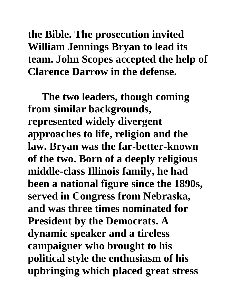**the Bible. The prosecution invited William Jennings Bryan to lead its team. John Scopes accepted the help of Clarence Darrow in the defense.** 

**The two leaders, though coming from similar backgrounds, represented widely divergent approaches to life, religion and the law. Bryan was the far-better-known of the two. Born of a deeply religious middle-class Illinois family, he had been a national figure since the 1890s, served in Congress from Nebraska, and was three times nominated for President by the Democrats. A dynamic speaker and a tireless campaigner who brought to his political style the enthusiasm of his upbringing which placed great stress**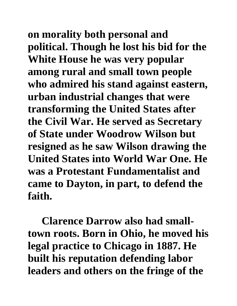**on morality both personal and political. Though he lost his bid for the White House he was very popular among rural and small town people who admired his stand against eastern, urban industrial changes that were transforming the United States after the Civil War. He served as Secretary of State under Woodrow Wilson but resigned as he saw Wilson drawing the United States into World War One. He was a Protestant Fundamentalist and came to Dayton, in part, to defend the faith.**

**Clarence Darrow also had smalltown roots. Born in Ohio, he moved his legal practice to Chicago in 1887. He built his reputation defending labor leaders and others on the fringe of the**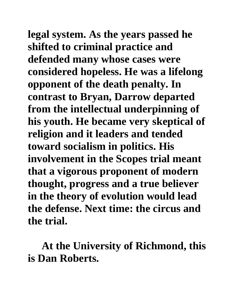**legal system. As the years passed he shifted to criminal practice and defended many whose cases were considered hopeless. He was a lifelong opponent of the death penalty. In contrast to Bryan, Darrow departed from the intellectual underpinning of his youth. He became very skeptical of religion and it leaders and tended toward socialism in politics. His involvement in the Scopes trial meant that a vigorous proponent of modern thought, progress and a true believer in the theory of evolution would lead the defense. Next time: the circus and the trial.**

**At the University of Richmond, this is Dan Roberts.**